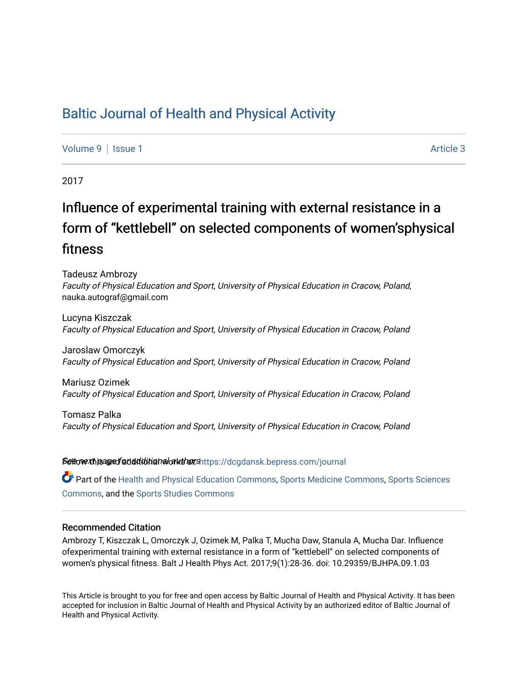## [Baltic Journal of Health and Physical Activity](https://dcgdansk.bepress.com/journal)

[Volume 9](https://dcgdansk.bepress.com/journal/vol9) | [Issue 1](https://dcgdansk.bepress.com/journal/vol9/iss1) Article 3

2017

# Influence of experimental training with external resistance in a form of "kettlebell" on selected components of women'sphysical fitness

Tadeusz Ambrozy Faculty of Physical Education and Sport, University of Physical Education in Cracow, Poland, nauka.autograf@gmail.com

Lucyna Kiszczak Faculty of Physical Education and Sport, University of Physical Education in Cracow, Poland

Jaroslaw Omorczyk Faculty of Physical Education and Sport, University of Physical Education in Cracow, Poland

Mariusz Ozimek Faculty of Physical Education and Sport, University of Physical Education in Cracow, Poland

Tomasz Palka Faculty of Physical Education and Sport, University of Physical Education in Cracow, Poland

Settovexthis age of addiditional authors[https://dcgdansk.bepress.com/journal](https://dcgdansk.bepress.com/journal?utm_source=dcgdansk.bepress.com%2Fjournal%2Fvol9%2Fiss1%2F3&utm_medium=PDF&utm_campaign=PDFCoverPages)

Part of the [Health and Physical Education Commons](http://network.bepress.com/hgg/discipline/1327?utm_source=dcgdansk.bepress.com%2Fjournal%2Fvol9%2Fiss1%2F3&utm_medium=PDF&utm_campaign=PDFCoverPages), [Sports Medicine Commons,](http://network.bepress.com/hgg/discipline/1331?utm_source=dcgdansk.bepress.com%2Fjournal%2Fvol9%2Fiss1%2F3&utm_medium=PDF&utm_campaign=PDFCoverPages) [Sports Sciences](http://network.bepress.com/hgg/discipline/759?utm_source=dcgdansk.bepress.com%2Fjournal%2Fvol9%2Fiss1%2F3&utm_medium=PDF&utm_campaign=PDFCoverPages) [Commons](http://network.bepress.com/hgg/discipline/759?utm_source=dcgdansk.bepress.com%2Fjournal%2Fvol9%2Fiss1%2F3&utm_medium=PDF&utm_campaign=PDFCoverPages), and the [Sports Studies Commons](http://network.bepress.com/hgg/discipline/1198?utm_source=dcgdansk.bepress.com%2Fjournal%2Fvol9%2Fiss1%2F3&utm_medium=PDF&utm_campaign=PDFCoverPages) 

### Recommended Citation

Ambrozy T, Kiszczak L, Omorczyk J, Ozimek M, Palka T, Mucha Daw, Stanula A, Mucha Dar. Influence ofexperimental training with external resistance in a form of "kettlebell" on selected components of women's physical fitness. Balt J Health Phys Act. 2017;9(1):28-36. doi: 10.29359/BJHPA.09.1.03

This Article is brought to you for free and open access by Baltic Journal of Health and Physical Activity. It has been accepted for inclusion in Baltic Journal of Health and Physical Activity by an authorized editor of Baltic Journal of Health and Physical Activity.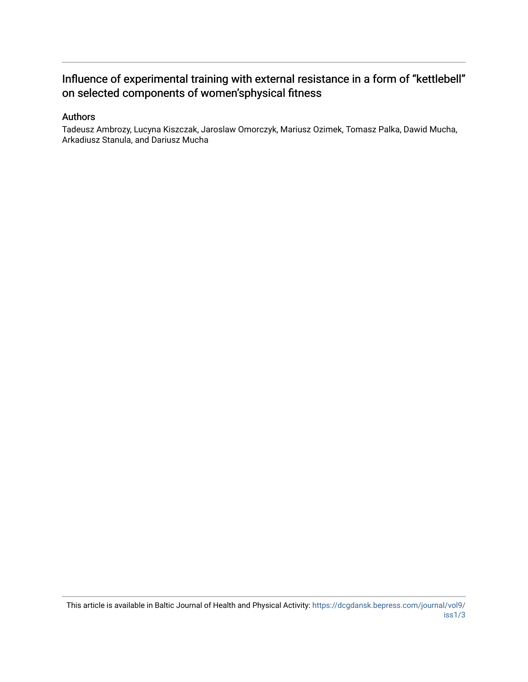## Influence of experimental training with external resistance in a form of "kettlebell" on selected components of women'sphysical fitness

## Authors

Tadeusz Ambrozy, Lucyna Kiszczak, Jaroslaw Omorczyk, Mariusz Ozimek, Tomasz Palka, Dawid Mucha, Arkadiusz Stanula, and Dariusz Mucha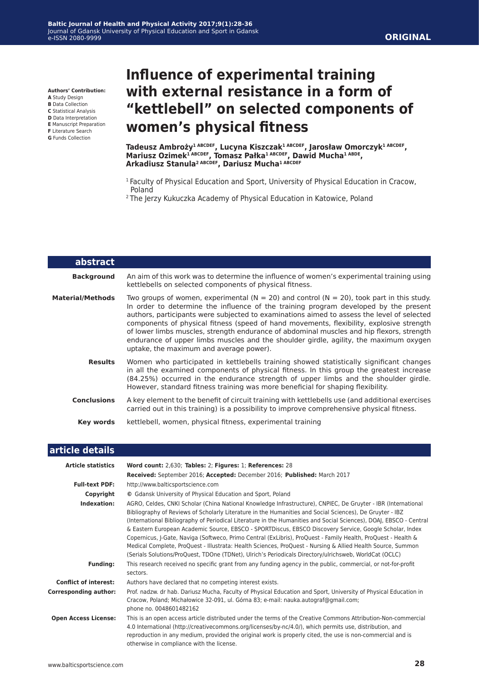#### **Authors' Contribution:**

- **A** Study Design
- **B** Data Collection
- **C** Statistical Analysis **D** Data Interpretation
- **E** Manuscript Preparation
- **F** Literature Search
- **G** Funds Collection

# **Influence of experimental training with external resistance in a form of "kettlebell" on selected components of women's physical fitness**

**Tadeusz Ambroży1 ABCDEF, Lucyna Kiszczak1 ABCDEF, Jarosław Omorczyk1 ABCDEF, Mariusz Ozimek1 ABCDEF, Tomasz Pałka1 ABCDEF, Dawid Mucha1 ABDE, Arkadiusz Stanula2 ABCDEF, Dariusz Mucha1 ABCDEF**

- <sup>1</sup> Faculty of Physical Education and Sport, University of Physical Education in Cracow, Poland
- 2 The Jerzy Kukuczka Academy of Physical Education in Katowice, Poland

| abstract                |                                                                                                                                                                                                                                                                                                                                                                                                                                                                                                                                                                                                                      |
|-------------------------|----------------------------------------------------------------------------------------------------------------------------------------------------------------------------------------------------------------------------------------------------------------------------------------------------------------------------------------------------------------------------------------------------------------------------------------------------------------------------------------------------------------------------------------------------------------------------------------------------------------------|
| <b>Background</b>       | An aim of this work was to determine the influence of women's experimental training using<br>kettlebells on selected components of physical fitness.                                                                                                                                                                                                                                                                                                                                                                                                                                                                 |
| <b>Material/Methods</b> | Two groups of women, experimental ( $N = 20$ ) and control ( $N = 20$ ), took part in this study.<br>In order to determine the influence of the training program developed by the present<br>authors, participants were subjected to examinations aimed to assess the level of selected<br>components of physical fitness (speed of hand movements, flexibility, explosive strength<br>of lower limbs muscles, strength endurance of abdominal muscles and hip flexors, strength<br>endurance of upper limbs muscles and the shoulder girdle, agility, the maximum oxygen<br>uptake, the maximum and average power). |
| <b>Results</b>          | Women who participated in kettlebells training showed statistically significant changes<br>in all the examined components of physical fitness. In this group the greatest increase<br>(84.25%) occurred in the endurance strength of upper limbs and the shoulder girdle.<br>However, standard fitness training was more beneficial for shaping flexibility.                                                                                                                                                                                                                                                         |
| <b>Conclusions</b>      | A key element to the benefit of circuit training with kettlebells use (and additional exercises<br>carried out in this training) is a possibility to improve comprehensive physical fitness.                                                                                                                                                                                                                                                                                                                                                                                                                         |
| Key words               | kettlebell, women, physical fitness, experimental training                                                                                                                                                                                                                                                                                                                                                                                                                                                                                                                                                           |

#### **article details**

| <b>Article statistics</b>    | Word count: 2,630; Tables: 2; Figures: 1; References: 28                                                                                                                                                                                                                                                                                                                                                                                                                                                                                                                                                                                                                                                                                                                                             |  |  |  |  |  |  |
|------------------------------|------------------------------------------------------------------------------------------------------------------------------------------------------------------------------------------------------------------------------------------------------------------------------------------------------------------------------------------------------------------------------------------------------------------------------------------------------------------------------------------------------------------------------------------------------------------------------------------------------------------------------------------------------------------------------------------------------------------------------------------------------------------------------------------------------|--|--|--|--|--|--|
|                              | Received: September 2016; Accepted: December 2016; Published: March 2017                                                                                                                                                                                                                                                                                                                                                                                                                                                                                                                                                                                                                                                                                                                             |  |  |  |  |  |  |
| <b>Full-text PDF:</b>        | http://www.balticsportscience.com                                                                                                                                                                                                                                                                                                                                                                                                                                                                                                                                                                                                                                                                                                                                                                    |  |  |  |  |  |  |
| Copyright                    | © Gdansk University of Physical Education and Sport, Poland                                                                                                                                                                                                                                                                                                                                                                                                                                                                                                                                                                                                                                                                                                                                          |  |  |  |  |  |  |
| Indexation:                  | AGRO, Celdes, CNKI Scholar (China National Knowledge Infrastructure), CNPIEC, De Gruyter - IBR (International<br>Bibliography of Reviews of Scholarly Literature in the Humanities and Social Sciences), De Gruyter - IBZ<br>(International Bibliography of Periodical Literature in the Humanities and Social Sciences), DOAJ, EBSCO - Central<br>& Eastern European Academic Source, EBSCO - SPORTDiscus, EBSCO Discovery Service, Google Scholar, Index<br>Copernicus, J-Gate, Naviga (Softweco, Primo Central (ExLibris), ProQuest - Family Health, ProQuest - Health &<br>Medical Complete, ProQuest - Illustrata: Health Sciences, ProQuest - Nursing & Allied Health Source, Summon<br>(Serials Solutions/ProQuest, TDOne (TDNet), Ulrich's Periodicals Directory/ulrichsweb, WorldCat (OCLC) |  |  |  |  |  |  |
| <b>Funding:</b>              | This research received no specific grant from any funding agency in the public, commercial, or not-for-profit<br>sectors.                                                                                                                                                                                                                                                                                                                                                                                                                                                                                                                                                                                                                                                                            |  |  |  |  |  |  |
| <b>Conflict of interest:</b> | Authors have declared that no competing interest exists.                                                                                                                                                                                                                                                                                                                                                                                                                                                                                                                                                                                                                                                                                                                                             |  |  |  |  |  |  |
| <b>Corresponding author:</b> | Prof. nadzw. dr hab. Dariusz Mucha, Faculty of Physical Education and Sport, University of Physical Education in<br>Cracow, Poland; Michałowice 32-091, ul. Górna 83; e-mail: nauka.autograf@gmail.com;<br>phone no. 0048601482162                                                                                                                                                                                                                                                                                                                                                                                                                                                                                                                                                                   |  |  |  |  |  |  |
| <b>Open Access License:</b>  | This is an open access article distributed under the terms of the Creative Commons Attribution-Non-commercial<br>4.0 International (http://creativecommons.org/licenses/by-nc/4.0/), which permits use, distribution, and<br>reproduction in any medium, provided the original work is properly cited, the use is non-commercial and is<br>otherwise in compliance with the license.                                                                                                                                                                                                                                                                                                                                                                                                                 |  |  |  |  |  |  |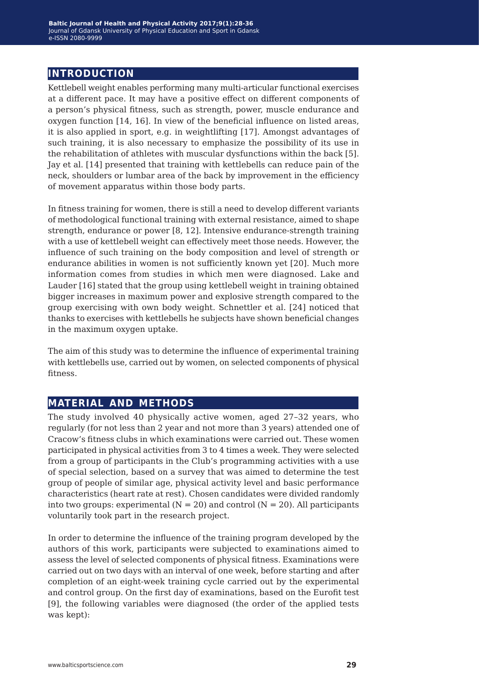## **introduction**

Kettlebell weight enables performing many multi-articular functional exercises at a different pace. It may have a positive effect on different components of a person's physical fitness, such as strength, power, muscle endurance and oxygen function [14, 16]. In view of the beneficial influence on listed areas, it is also applied in sport, e.g. in weightlifting [17]. Amongst advantages of such training, it is also necessary to emphasize the possibility of its use in the rehabilitation of athletes with muscular dysfunctions within the back [5]. Jay et al. [14] presented that training with kettlebells can reduce pain of the neck, shoulders or lumbar area of the back by improvement in the efficiency of movement apparatus within those body parts.

In fitness training for women, there is still a need to develop different variants of methodological functional training with external resistance, aimed to shape strength, endurance or power [8, 12]. Intensive endurance-strength training with a use of kettlebell weight can effectively meet those needs. However, the influence of such training on the body composition and level of strength or endurance abilities in women is not sufficiently known yet [20]. Much more information comes from studies in which men were diagnosed. Lake and Lauder [16] stated that the group using kettlebell weight in training obtained bigger increases in maximum power and explosive strength compared to the group exercising with own body weight. Schnettler et al. [24] noticed that thanks to exercises with kettlebells he subjects have shown beneficial changes in the maximum oxygen uptake.

The aim of this study was to determine the influence of experimental training with kettlebells use, carried out by women, on selected components of physical fitness.

## **material and methods**

The study involved 40 physically active women, aged 27–32 years, who regularly (for not less than 2 year and not more than 3 years) attended one of Cracow's fitness clubs in which examinations were carried out. These women participated in physical activities from 3 to 4 times a week. They were selected from a group of participants in the Club's programming activities with a use of special selection, based on a survey that was aimed to determine the test group of people of similar age, physical activity level and basic performance characteristics (heart rate at rest). Chosen candidates were divided randomly into two groups: experimental  $(N = 20)$  and control  $(N = 20)$ . All participants voluntarily took part in the research project.

In order to determine the influence of the training program developed by the authors of this work, participants were subjected to examinations aimed to assess the level of selected components of physical fitness. Examinations were carried out on two days with an interval of one week, before starting and after completion of an eight-week training cycle carried out by the experimental and control group. On the first day of examinations, based on the Eurofit test [9], the following variables were diagnosed (the order of the applied tests was kept):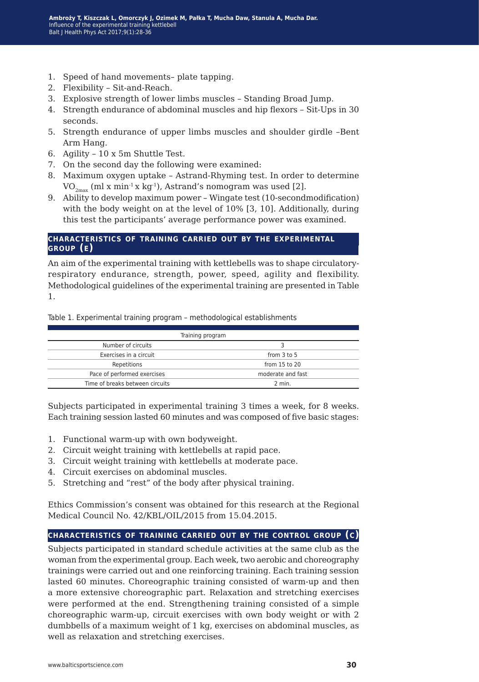- 1. Speed of hand movements– plate tapping.
- 2. Flexibility Sit-and-Reach.
- 3. Explosive strength of lower limbs muscles Standing Broad Jump.
- 4. Strength endurance of abdominal muscles and hip flexors Sit-Ups in 30 seconds.
- 5. Strength endurance of upper limbs muscles and shoulder girdle –Bent Arm Hang.
- 6. Agility 10 x 5m Shuttle Test.
- 7. On the second day the following were examined:
- 8. Maximum oxygen uptake Astrand-Rhyming test. In order to determine  $VO_{2m \alpha x}$  (ml x min<sup>-1</sup> x kg<sup>-1</sup>), Astrand's nomogram was used [2].
- 9. Ability to develop maximum power Wingate test (10-secondmodification) with the body weight on at the level of 10% [3, 10]. Additionally, during this test the participants' average performance power was examined.

#### **characteristics of training carried out by the experimental group (e)**

An aim of the experimental training with kettlebells was to shape circulatoryrespiratory endurance, strength, power, speed, agility and flexibility. Methodological guidelines of the experimental training are presented in Table 1.

Table 1. Experimental training program – methodological establishments

| Training program                |                   |  |  |  |  |  |
|---------------------------------|-------------------|--|--|--|--|--|
| Number of circuits              |                   |  |  |  |  |  |
| Exercises in a circuit          | from $3$ to $5$   |  |  |  |  |  |
| Repetitions                     | from 15 to 20     |  |  |  |  |  |
| Pace of performed exercises     | moderate and fast |  |  |  |  |  |
| Time of breaks between circuits | 2 min.            |  |  |  |  |  |

Subjects participated in experimental training 3 times a week, for 8 weeks. Each training session lasted 60 minutes and was composed of five basic stages:

- 1. Functional warm-up with own bodyweight.
- 2. Circuit weight training with kettlebells at rapid pace.
- 3. Circuit weight training with kettlebells at moderate pace.
- 4. Circuit exercises on abdominal muscles.
- 5. Stretching and "rest" of the body after physical training.

Ethics Commission's consent was obtained for this research at the Regional Medical Council No. 42/KBL/OIL/2015 from 15.04.2015.

#### **characteristics of training carried out by the control group (c)**

Subjects participated in standard schedule activities at the same club as the woman from the experimental group. Each week, two aerobic and choreography trainings were carried out and one reinforcing training. Each training session lasted 60 minutes. Choreographic training consisted of warm-up and then a more extensive choreographic part. Relaxation and stretching exercises were performed at the end. Strengthening training consisted of a simple choreographic warm-up, circuit exercises with own body weight or with 2 dumbbells of a maximum weight of 1 kg, exercises on abdominal muscles, as well as relaxation and stretching exercises.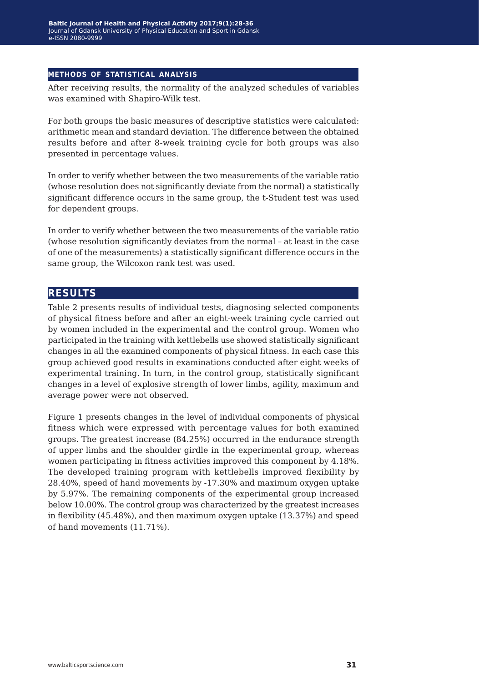#### **methods of statistical analysis**

After receiving results, the normality of the analyzed schedules of variables was examined with Shapiro-Wilk test.

For both groups the basic measures of descriptive statistics were calculated: arithmetic mean and standard deviation. The difference between the obtained results before and after 8-week training cycle for both groups was also presented in percentage values.

In order to verify whether between the two measurements of the variable ratio (whose resolution does not significantly deviate from the normal) a statistically significant difference occurs in the same group, the t-Student test was used for dependent groups.

In order to verify whether between the two measurements of the variable ratio (whose resolution significantly deviates from the normal – at least in the case of one of the measurements) a statistically significant difference occurs in the same group, the Wilcoxon rank test was used.

### **results**

Table 2 presents results of individual tests, diagnosing selected components of physical fitness before and after an eight-week training cycle carried out by women included in the experimental and the control group. Women who participated in the training with kettlebells use showed statistically significant changes in all the examined components of physical fitness. In each case this group achieved good results in examinations conducted after eight weeks of experimental training. In turn, in the control group, statistically significant changes in a level of explosive strength of lower limbs, agility, maximum and average power were not observed.

Figure 1 presents changes in the level of individual components of physical fitness which were expressed with percentage values for both examined groups. The greatest increase (84.25%) occurred in the endurance strength of upper limbs and the shoulder girdle in the experimental group, whereas women participating in fitness activities improved this component by 4.18%. The developed training program with kettlebells improved flexibility by 28.40%, speed of hand movements by -17.30% and maximum oxygen uptake by 5.97%. The remaining components of the experimental group increased below 10.00%. The control group was characterized by the greatest increases in flexibility (45.48%), and then maximum oxygen uptake (13.37%) and speed of hand movements (11.71%).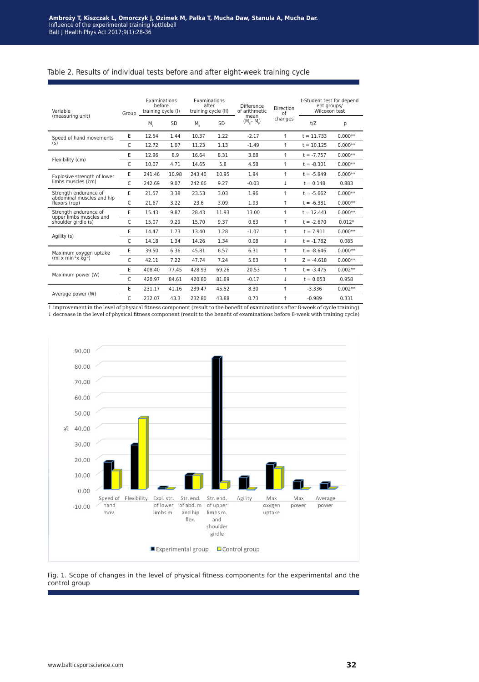#### Table 2. Results of individual tests before and after eight-week training cycle

| Variable<br>(measuring unit)                       | Group | Examinations<br>before<br>training cycle (I) |       | Examinations<br>after<br>training cycle (II) |       | Difference<br>of arithmetic | <b>Direction</b><br>of | t-Student test for depend<br>ent groups/<br>Wilcoxon test |           |
|----------------------------------------------------|-------|----------------------------------------------|-------|----------------------------------------------|-------|-----------------------------|------------------------|-----------------------------------------------------------|-----------|
|                                                    |       | M,                                           | SD    | $M_{\parallel}$                              | SD    | mean<br>$(M_{1} - M_{1})$   | changes                | t/Z                                                       | р         |
| Speed of hand movements<br>(s)                     | E     | 12.54                                        | 1.44  | 10.37                                        | 1.22  | $-2.17$                     | $\uparrow$             | $t = 11.733$                                              | $0.000**$ |
|                                                    | C     | 12.72                                        | 1.07  | 11.23                                        | 1.13  | $-1.49$                     | $\uparrow$             | $t = 10.125$                                              | $0.000**$ |
| Flexibility (cm)                                   | E     | 12.96                                        | 8.9   | 16.64                                        | 8.31  | 3.68                        | $\uparrow$             | $t = -7.757$                                              | $0.000**$ |
|                                                    | C     | 10.07                                        | 4.71  | 14.65                                        | 5.8   | 4.58                        | $\uparrow$             | $t = -8.301$                                              | $0.000**$ |
| Explosive strength of lower                        | E     | 241.46                                       | 10.98 | 243.40                                       | 10.95 | 1.94                        | $\uparrow$             | $t = -5.849$                                              | $0.000**$ |
| limbs muscles (cm)                                 | C     | 242.69                                       | 9.07  | 242.66                                       | 9.27  | $-0.03$                     | ↓                      | $t = 0.148$                                               | 0.883     |
| Strength endurance of<br>abdominal muscles and hip | E     | 21.57                                        | 3.38  | 23.53                                        | 3.03  | 1.96                        | $\uparrow$             | $t = -5.662$                                              | $0.000**$ |
| flexors (rep)                                      | C     | 21.67                                        | 3.22  | 23.6                                         | 3.09  | 1.93                        | $\uparrow$             | $t = -6.381$                                              | $0.000**$ |
| Strength endurance of<br>upper limbs muscles and   | E     | 15.43                                        | 9.87  | 28.43                                        | 11.93 | 13.00                       | $\uparrow$             | $t = 12.441$                                              | $0.000**$ |
| shoulder girdle (s)                                | C     | 15.07                                        | 9.29  | 15.70                                        | 9.37  | 0.63                        | $\uparrow$             | $t = -2.670$                                              | $0.012*$  |
| Agility (s)                                        | E     | 14.47                                        | 1.73  | 13.40                                        | 1.28  | $-1.07$                     | $\uparrow$             | $t = 7.911$                                               | $0.000**$ |
|                                                    | C     | 14.18                                        | 1.34  | 14.26                                        | 1.34  | 0.08                        | ψ                      | $t = -1.782$                                              | 0.085     |
| Maximum oxygen uptake                              | E     | 39.50                                        | 6.36  | 45.81                                        | 6.57  | 6.31                        | $\uparrow$             | $t = -8.646$                                              | $0.000**$ |
| (ml x min- $\frac{1}{x}$ kg-1)                     | C     | 42.11                                        | 7.22  | 47.74                                        | 7.24  | 5.63                        | $\uparrow$             | $Z = -4.618$                                              | $0.000**$ |
| Maximum power (W)                                  | E     | 408.40                                       | 77.45 | 428.93                                       | 69.26 | 20.53                       | $\uparrow$             | $t = -3.475$                                              | $0.002**$ |
|                                                    | C     | 420.97                                       | 84.61 | 420.80                                       | 81.89 | $-0.17$                     | ↓                      | $t = 0.053$                                               | 0.958     |
|                                                    | E     | 231.17                                       | 41.16 | 239.47                                       | 45.52 | 8.30                        | $\uparrow$             | $-3.336$                                                  | $0.002**$ |
| Average power (W)                                  | C     | 232.07                                       | 43.3  | 232.80                                       | 43.88 | 0.73                        | $\uparrow$             | $-0.989$                                                  | 0.331     |

↑ improvement in the level of physical fitness component (result to the benefit of examinations after 8-week of cycle training) ↓ decrease in the level of physical fitness component (result to the benefit of examinations before 8-week with training cycle)



Fig. 1. Scope of changes in the level of physical fitness components for the experimental and the control group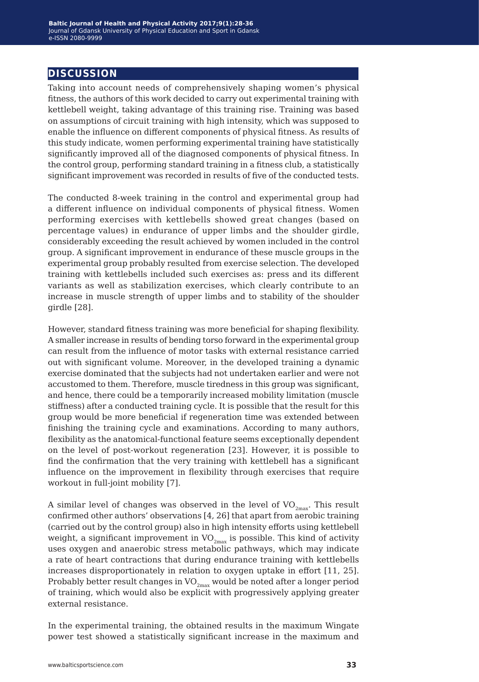## **discussion**

Taking into account needs of comprehensively shaping women's physical fitness, the authors of this work decided to carry out experimental training with kettlebell weight, taking advantage of this training rise. Training was based on assumptions of circuit training with high intensity, which was supposed to enable the influence on different components of physical fitness. As results of this study indicate, women performing experimental training have statistically significantly improved all of the diagnosed components of physical fitness. In the control group, performing standard training in a fitness club, a statistically significant improvement was recorded in results of five of the conducted tests.

The conducted 8-week training in the control and experimental group had a different influence on individual components of physical fitness. Women performing exercises with kettlebells showed great changes (based on percentage values) in endurance of upper limbs and the shoulder girdle, considerably exceeding the result achieved by women included in the control group. A significant improvement in endurance of these muscle groups in the experimental group probably resulted from exercise selection. The developed training with kettlebells included such exercises as: press and its different variants as well as stabilization exercises, which clearly contribute to an increase in muscle strength of upper limbs and to stability of the shoulder girdle [28].

However, standard fitness training was more beneficial for shaping flexibility. A smaller increase in results of bending torso forward in the experimental group can result from the influence of motor tasks with external resistance carried out with significant volume. Moreover, in the developed training a dynamic exercise dominated that the subjects had not undertaken earlier and were not accustomed to them. Therefore, muscle tiredness in this group was significant, and hence, there could be a temporarily increased mobility limitation (muscle stiffness) after a conducted training cycle. It is possible that the result for this group would be more beneficial if regeneration time was extended between finishing the training cycle and examinations. According to many authors, flexibility as the anatomical-functional feature seems exceptionally dependent on the level of post-workout regeneration [23]. However, it is possible to find the confirmation that the very training with kettlebell has a significant influence on the improvement in flexibility through exercises that require workout in full-joint mobility [7].

A similar level of changes was observed in the level of  $VO_{2max}$ . This result confirmed other authors' observations [4, 26] that apart from aerobic training (carried out by the control group) also in high intensity efforts using kettlebell weight, a significant improvement in  $VO_{2max}$  is possible. This kind of activity uses oxygen and anaerobic stress metabolic pathways, which may indicate a rate of heart contractions that during endurance training with kettlebells increases disproportionately in relation to oxygen uptake in effort [11, 25]. Probably better result changes in  $VO_{2max}$  would be noted after a longer period of training, which would also be explicit with progressively applying greater external resistance.

In the experimental training, the obtained results in the maximum Wingate power test showed a statistically significant increase in the maximum and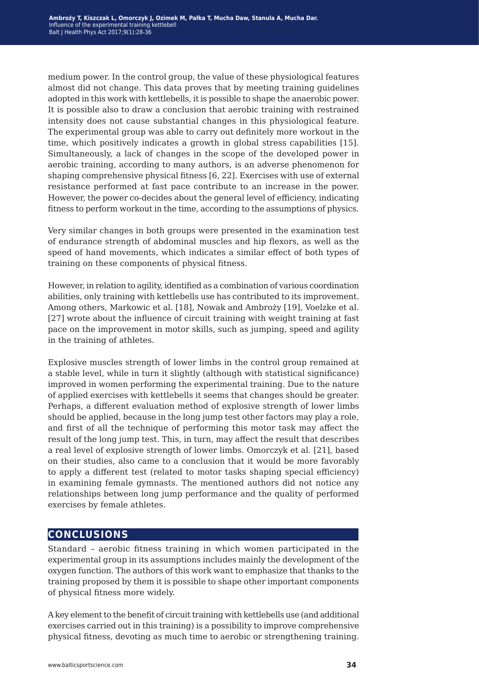medium power. In the control group, the value of these physiological features almost did not change. This data proves that by meeting training guidelines adopted in this work with kettlebells, it is possible to shape the anaerobic power. It is possible also to draw a conclusion that aerobic training with restrained intensity does not cause substantial changes in this physiological feature. The experimental group was able to carry out definitely more workout in the time, which positively indicates a growth in global stress capabilities [15]. Simultaneously, a lack of changes in the scope of the developed power in aerobic training, according to many authors, is an adverse phenomenon for shaping comprehensive physical fitness [6, 22]. Exercises with use of external resistance performed at fast pace contribute to an increase in the power. However, the power co-decides about the general level of efficiency, indicating fitness to perform workout in the time, according to the assumptions of physics.

Very similar changes in both groups were presented in the examination test of endurance strength of abdominal muscles and hip flexors, as well as the speed of hand movements, which indicates a similar effect of both types of training on these components of physical fitness.

However, in relation to agility, identified as a combination of various coordination abilities, only training with kettlebells use has contributed to its improvement. Among others, Markowic et al. [18], Nowak and Ambroży [19], Voelzke et al. [27] wrote about the influence of circuit training with weight training at fast pace on the improvement in motor skills, such as jumping, speed and agility in the training of athletes.

Explosive muscles strength of lower limbs in the control group remained at a stable level, while in turn it slightly (although with statistical significance) improved in women performing the experimental training. Due to the nature of applied exercises with kettlebells it seems that changes should be greater. Perhaps, a different evaluation method of explosive strength of lower limbs should be applied, because in the long jump test other factors may play a role, and first of all the technique of performing this motor task may affect the result of the long jump test. This, in turn, may affect the result that describes a real level of explosive strength of lower limbs. Omorczyk et al. [21], based on their studies, also came to a conclusion that it would be more favorably to apply a different test (related to motor tasks shaping special efficiency) in examining female gymnasts. The mentioned authors did not notice any relationships between long jump performance and the quality of performed exercises by female athletes.

## **conclusions**

Standard – aerobic fitness training in which women participated in the experimental group in its assumptions includes mainly the development of the oxygen function. The authors of this work want to emphasize that thanks to the training proposed by them it is possible to shape other important components of physical fitness more widely.

A key element to the benefit of circuit training with kettlebells use (and additional exercises carried out in this training) is a possibility to improve comprehensive physical fitness, devoting as much time to aerobic or strengthening training.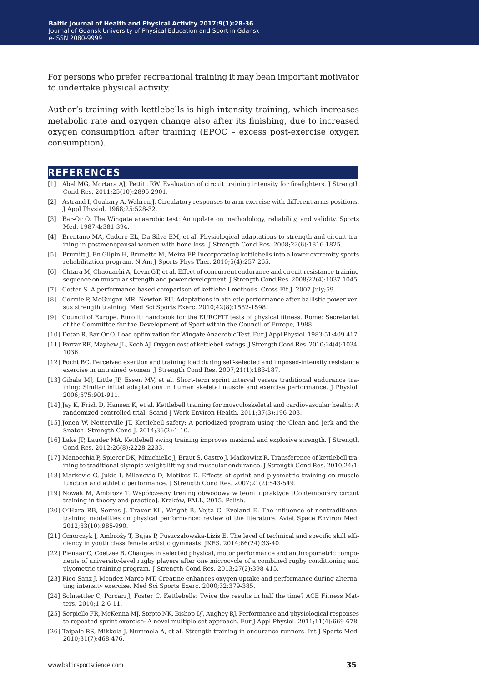For persons who prefer recreational training it may bean important motivator to undertake physical activity.

Author's training with kettlebells is high-intensity training, which increases metabolic rate and oxygen change also after its finishing, due to increased oxygen consumption after training (EPOC – excess post-exercise oxygen consumption).

### **references**

- [1] Abel MG, Mortara AJ, Pettitt RW. Evaluation of circuit training intensity for firefighters. J Strength Cond Res. 2011;25(10):2895-2901.
- [2] Astrand I, Guahary A, Wahren J. Circulatory responses to arm exercise with different arms positions. J Appl Physiol. 1968;25:528-32.
- [3] Bar-Or O. The Wingate anaerobic test: An update on methodology, reliability, and validity. Sports Med. 1987;4:381-394.
- [4] Brentano MA, Cadore EL, Da Silva EM, et al. Physiological adaptations to strength and circuit training in postmenopausal women with bone loss. J Strength Cond Res. 2008;22(6):1816-1825.
- [5] Brumitt J, En Gilpin H, Brunette M, Meira EP. Incorporating kettlebells into a lower extremity sports rehabilitation program. N Am J Sports Phys Ther. 2010;5(4):257-265.
- [6] Chtara M, Chaouachi A, Levin GT, et al. Effect of concurrent endurance and circuit resistance training sequence on muscular strength and power development. J Strength Cond Res. 2008;22(4):1037-1045.
- [7] Cotter S. A performance-based comparison of kettlebell methods. Cross Fit J. 2007 July;59.
- [8] Cormie P, McGuigan MR, Newton RU. Adaptations in athletic performance after ballistic power versus strength training. Med Sci Sports Exerc. 2010;42(8):1582-1598.
- [9] Council of Europe. Eurofit: handbook for the EUROFIT tests of physical fitness. Rome: Secretariat of the Committee for the Development of Sport within the Council of Europe, 1988.
- [10] Dotan R, Bar-Or O. Load optimization for Wingate Anaerobic Test. Eur J Appl Physiol. 1983;51:409-417.
- [11] Farrar RE, Mayhew JL, Koch AJ. Oxygen cost of kettlebell swings. J Strength Cond Res. 2010;24(4):1034- 1036.
- [12] Focht BC. Perceived exertion and training load during self-selected and imposed-intensity resistance exercise in untrained women. J Strength Cond Res. 2007;21(1):183-187.
- [13] Gibala MJ, Little JP, Essen MV, et al. Short-term sprint interval versus traditional endurance training: Similar initial adaptations in human skeletal muscle and exercise performance. J Physiol. 2006;575:901-911.
- [14] Jay K, Frish D, Hansen K, et al. Kettlebell training for musculoskeletal and cardiovascular health: A randomized controlled trial. Scand J Work Environ Health. 2011;37(3):196-203.
- [15] Jonen W, Netterville JT. Kettlebell safety: A periodized program using the Clean and Jerk and the Snatch. Strength Cond J. 2014;36(2):1-10.
- [16] Lake JP, Lauder MA. Kettlebell swing training improves maximal and explosive strength. J Strength Cond Res. 2012;26(8):2228-2233.
- [17] Manocchia P, Spierer DK, Minichiello J, Braut S, Castro J, Markowitz R. Transference of kettlebell training to traditional olympic weight lifting and muscular endurance. J Strength Cond Res. 2010;24:1.
- [18] Markovic G, Jukic I, Milanovic D, Metikos D. Effects of sprint and plyometric training on muscle function and athletic performance. J Strength Cond Res. 2007;21(2):543-549.
- [19] Nowak M, Ambroży T. Współczesny trening obwodowy w teorii i praktyce [Contemporary circuit training in theory and practice]. Kraków, FALL, 2015. Polish.
- [20] O'Hara RB, Serres J, Traver KL, Wright B, Vojta C, Eveland E. The influence of nontraditional training modalities on physical performance: review of the literature. Aviat Space Environ Med. 2012;83(10):985-990.
- [21] Omorczyk J, Ambroży T, Bujas P, Puszczałowska-Lizis E. The level of technical and specific skill efficiency in youth class female artistic gymnasts. JKES. 2014;66(24):33-40.
- [22] Pienaar C, Coetzee B. Changes in selected physical, motor performance and anthropometric components of university-level rugby players after one microcycle of a combined rugby conditioning and plyometric training program. J Strength Cond Res. 2013;27(2):398-415.
- [23] Rico-Sanz J, Mendez Marco MT. Creatine enhances oxygen uptake and performance during alternating intensity exercise. Med Sci Sports Exerc. 2000;32:379-385.
- [24] Schnettler C, Porcari J, Foster C. Kettlebells: Twice the results in half the time? ACE Fitness Matters. 2010;1-2:6-11.
- [25] Serpiello FR, McKenna MJ, Stepto NK, Bishop DJ, Aughey RJ. Performance and physiological responses to repeated-sprint exercise: A novel multiple-set approach. Eur J Appl Physiol. 2011;11(4):669-678.
- [26] Taipale RS, Mikkola J, Nummela A, et al. Strength training in endurance runners. Int J Sports Med. 2010;31(7):468-476.